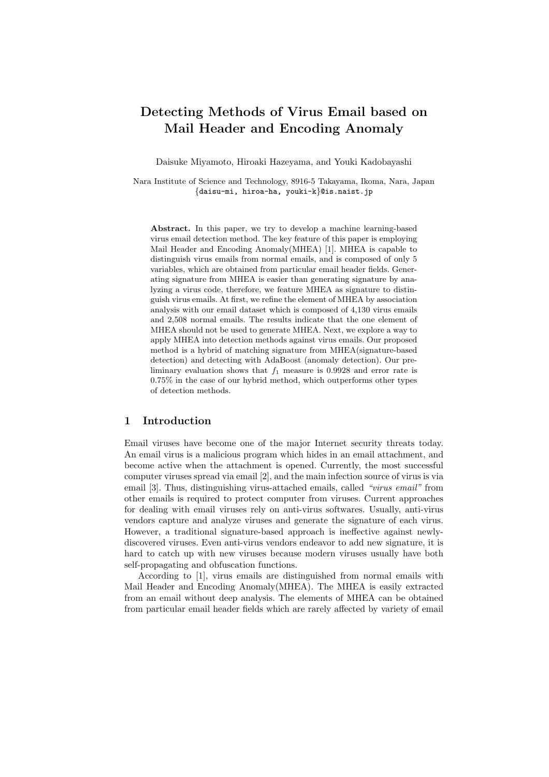# Detecting Methods of Virus Email based on Mail Header and Encoding Anomaly

Daisuke Miyamoto, Hiroaki Hazeyama, and Youki Kadobayashi

Nara Institute of Science and Technology, 8916-5 Takayama, Ikoma, Nara, Japan {daisu-mi, hiroa-ha, youki-k}@is.naist.jp

Abstract. In this paper, we try to develop a machine learning-based virus email detection method. The key feature of this paper is employing Mail Header and Encoding Anomaly(MHEA) [1]. MHEA is capable to distinguish virus emails from normal emails, and is composed of only 5 variables, which are obtained from particular email header fields. Generating signature from MHEA is easier than generating signature by analyzing a virus code, therefore, we feature MHEA as signature to distinguish virus emails. At first, we refine the element of MHEA by association analysis with our email dataset which is composed of 4,130 virus emails and 2,508 normal emails. The results indicate that the one element of MHEA should not be used to generate MHEA. Next, we explore a way to apply MHEA into detection methods against virus emails. Our proposed method is a hybrid of matching signature from MHEA(signature-based detection) and detecting with AdaBoost (anomaly detection). Our preliminary evaluation shows that  $f_1$  measure is 0.9928 and error rate is 0.75% in the case of our hybrid method, which outperforms other types of detection methods.

# 1 Introduction

Email viruses have become one of the major Internet security threats today. An email virus is a malicious program which hides in an email attachment, and become active when the attachment is opened. Currently, the most successful computer viruses spread via email [2], and the main infection source of virus is via email [3]. Thus, distinguishing virus-attached emails, called "virus email" from other emails is required to protect computer from viruses. Current approaches for dealing with email viruses rely on anti-virus softwares. Usually, anti-virus vendors capture and analyze viruses and generate the signature of each virus. However, a traditional signature-based approach is ineffective against newlydiscovered viruses. Even anti-virus vendors endeavor to add new signature, it is hard to catch up with new viruses because modern viruses usually have both self-propagating and obfuscation functions.

According to [1], virus emails are distinguished from normal emails with Mail Header and Encoding Anomaly(MHEA). The MHEA is easily extracted from an email without deep analysis. The elements of MHEA can be obtained from particular email header fields which are rarely affected by variety of email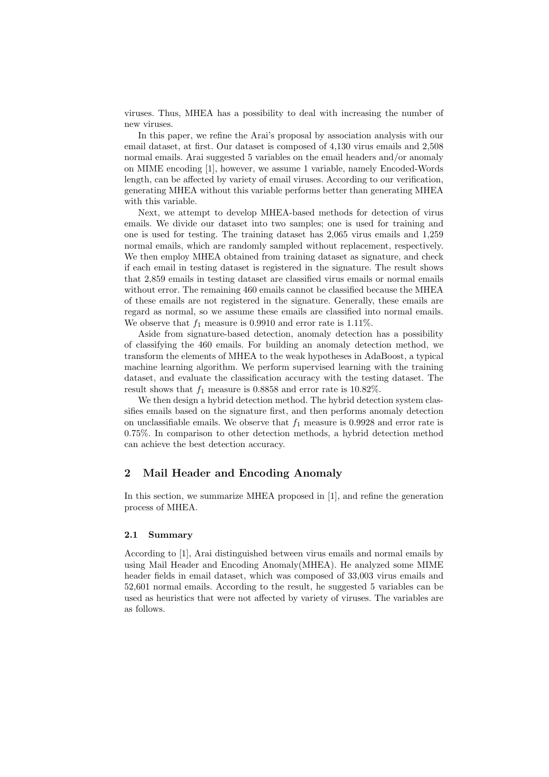viruses. Thus, MHEA has a possibility to deal with increasing the number of new viruses.

In this paper, we refine the Arai's proposal by association analysis with our email dataset, at first. Our dataset is composed of 4,130 virus emails and 2,508 normal emails. Arai suggested 5 variables on the email headers and/or anomaly on MIME encoding [1], however, we assume 1 variable, namely Encoded-Words length, can be affected by variety of email viruses. According to our verification, generating MHEA without this variable performs better than generating MHEA with this variable.

Next, we attempt to develop MHEA-based methods for detection of virus emails. We divide our dataset into two samples; one is used for training and one is used for testing. The training dataset has 2,065 virus emails and 1,259 normal emails, which are randomly sampled without replacement, respectively. We then employ MHEA obtained from training dataset as signature, and check if each email in testing dataset is registered in the signature. The result shows that 2,859 emails in testing dataset are classified virus emails or normal emails without error. The remaining 460 emails cannot be classified because the MHEA of these emails are not registered in the signature. Generally, these emails are regard as normal, so we assume these emails are classified into normal emails. We observe that  $f_1$  measure is 0.9910 and error rate is 1.11%.

Aside from signature-based detection, anomaly detection has a possibility of classifying the 460 emails. For building an anomaly detection method, we transform the elements of MHEA to the weak hypotheses in AdaBoost, a typical machine learning algorithm. We perform supervised learning with the training dataset, and evaluate the classification accuracy with the testing dataset. The result shows that  $f_1$  measure is 0.8858 and error rate is 10.82%.

We then design a hybrid detection method. The hybrid detection system classifies emails based on the signature first, and then performs anomaly detection on unclassifiable emails. We observe that  $f_1$  measure is 0.9928 and error rate is 0.75%. In comparison to other detection methods, a hybrid detection method can achieve the best detection accuracy.

# 2 Mail Header and Encoding Anomaly

In this section, we summarize MHEA proposed in [1], and refine the generation process of MHEA.

#### 2.1 Summary

According to [1], Arai distinguished between virus emails and normal emails by using Mail Header and Encoding Anomaly(MHEA). He analyzed some MIME header fields in email dataset, which was composed of 33,003 virus emails and 52,601 normal emails. According to the result, he suggested 5 variables can be used as heuristics that were not affected by variety of viruses. The variables are as follows.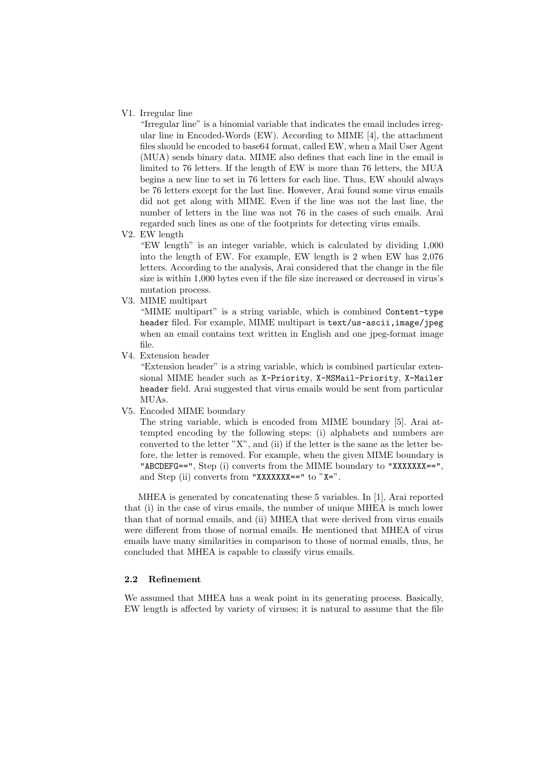### V1. Irregular line

"Irregular line" is a binomial variable that indicates the email includes irregular line in Encoded-Words (EW). According to MIME [4], the attachment files should be encoded to base64 format, called EW, when a Mail User Agent (MUA) sends binary data. MIME also defines that each line in the email is limited to 76 letters. If the length of EW is more than 76 letters, the MUA begins a new line to set in 76 letters for each line. Thus, EW should always be 76 letters except for the last line. However, Arai found some virus emails did not get along with MIME. Even if the line was not the last line, the number of letters in the line was not 76 in the cases of such emails. Arai regarded such lines as one of the footprints for detecting virus emails.

V2. EW length

"EW length" is an integer variable, which is calculated by dividing 1,000 into the length of EW. For example, EW length is 2 when EW has 2,076 letters. According to the analysis, Arai considered that the change in the file size is within 1,000 bytes even if the file size increased or decreased in virus's mutation process.

V3. MIME multipart

"MIME multipart" is a string variable, which is combined Content-type header filed. For example, MIME multipart is  $text/$ us-ascii, image/jpeg when an email contains text written in English and one jpeg-format image file.

V4. Extension header

"Extension header" is a string variable, which is combined particular extensional MIME header such as X-Priority, X-MSMail-Priority, X-Mailer header field. Arai suggested that virus emails would be sent from particular MUAs.

V5. Encoded MIME boundary

The string variable, which is encoded from MIME boundary [5]. Arai attempted encoding by the following steps: (i) alphabets and numbers are converted to the letter "X", and (ii) if the letter is the same as the letter before, the letter is removed. For example, when the given MIME boundary is "ABCDEFG==", Step (i) converts from the MIME boundary to "XXXXXXX==", and Step (ii) converts from "XXXXXXX==" to "X=".

MHEA is generated by concatenating these 5 variables. In [1], Arai reported that (i) in the case of virus emails, the number of unique MHEA is much lower than that of normal emails, and (ii) MHEA that were derived from virus emails were different from those of normal emails. He mentioned that MHEA of virus emails have many similarities in comparison to those of normal emails, thus, he concluded that MHEA is capable to classify virus emails.

## 2.2 Refinement

We assumed that MHEA has a weak point in its generating process. Basically, EW length is affected by variety of viruses; it is natural to assume that the file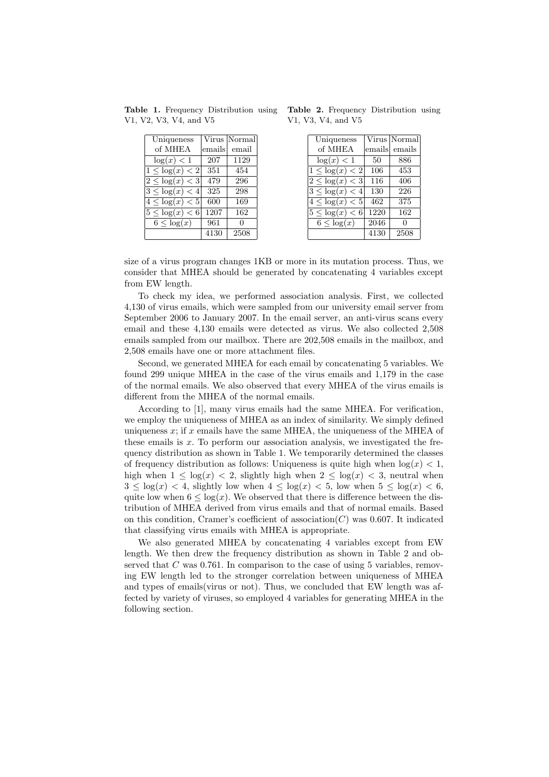|                        |  | <b>Table 1.</b> Frequency Distribution using |  |
|------------------------|--|----------------------------------------------|--|
| V1, V2, V3, V4, and V5 |  |                                              |  |

| Uniqueness                      | Virus  | Normal |
|---------------------------------|--------|--------|
| of MHEA                         | emails | email  |
| $\log(x) < 1$                   | 207    | 1129   |
| $1 \leq \log(x) < 2$            | 351    | 454    |
| $\overline{2} \leq \log(x) < 3$ | 479    | 296    |
| $3 \leq \log(x) < 4$            | 325    | 298    |
| $4 \leq \log(x) < 5$            | 600    | 169    |
| $5 \leq \log(x) < 6$            | 1207   | 162    |
| $\overline{6} \leq \log(x)$     | 961    | ∩      |
|                                 | 4130   | 2508   |

Table 2. Frequency Distribution using V1, V3, V4, and V5

| Uniqueness                      |        | Virus  Normal |
|---------------------------------|--------|---------------|
| of MHEA                         | emails | emails        |
| $\log(x) < 1$                   | 50     | 886           |
| $1 \leq \log(x) < 2$            | 106    | 453           |
| $\sqrt{2} \leq \log(x) < 3$     | 116    | 406           |
| $\overline{3 \leq \log}(x) < 4$ | 130    | 226           |
| $4 \leq \log(x) < 5$            | 462    | 375           |
| $5 \leq \log(x) < 6$            | 1220   | 162           |
| $\overline{6} \leq \log(x)$     | 2046   | U             |
|                                 | 4130   | 2508          |
|                                 |        |               |

size of a virus program changes 1KB or more in its mutation process. Thus, we consider that MHEA should be generated by concatenating 4 variables except from EW length.

To check my idea, we performed association analysis. First, we collected 4,130 of virus emails, which were sampled from our university email server from September 2006 to January 2007. In the email server, an anti-virus scans every email and these 4,130 emails were detected as virus. We also collected 2,508 emails sampled from our mailbox. There are 202,508 emails in the mailbox, and 2,508 emails have one or more attachment files.

Second, we generated MHEA for each email by concatenating 5 variables. We found 299 unique MHEA in the case of the virus emails and 1,179 in the case of the normal emails. We also observed that every MHEA of the virus emails is different from the MHEA of the normal emails.

According to [1], many virus emails had the same MHEA. For verification, we employ the uniqueness of MHEA as an index of similarity. We simply defined uniqueness  $x$ ; if  $x$  emails have the same MHEA, the uniqueness of the MHEA of these emails is  $x$ . To perform our association analysis, we investigated the frequency distribution as shown in Table 1. We temporarily determined the classes of frequency distribution as follows: Uniqueness is quite high when  $log(x) < 1$ , high when  $1 \leq \log(x) < 2$ , slightly high when  $2 \leq \log(x) < 3$ , neutral when  $3 \leq \log(x) < 4$ , slightly low when  $4 \leq \log(x) < 5$ , low when  $5 \leq \log(x) < 6$ , quite low when  $6 \leq \log(x)$ . We observed that there is difference between the distribution of MHEA derived from virus emails and that of normal emails. Based on this condition, Cramer's coefficient of association( $C$ ) was 0.607. It indicated that classifying virus emails with MHEA is appropriate.

We also generated MHEA by concatenating 4 variables except from EW length. We then drew the frequency distribution as shown in Table 2 and observed that  $C$  was 0.761. In comparison to the case of using 5 variables, removing EW length led to the stronger correlation between uniqueness of MHEA and types of emails(virus or not). Thus, we concluded that EW length was affected by variety of viruses, so employed 4 variables for generating MHEA in the following section.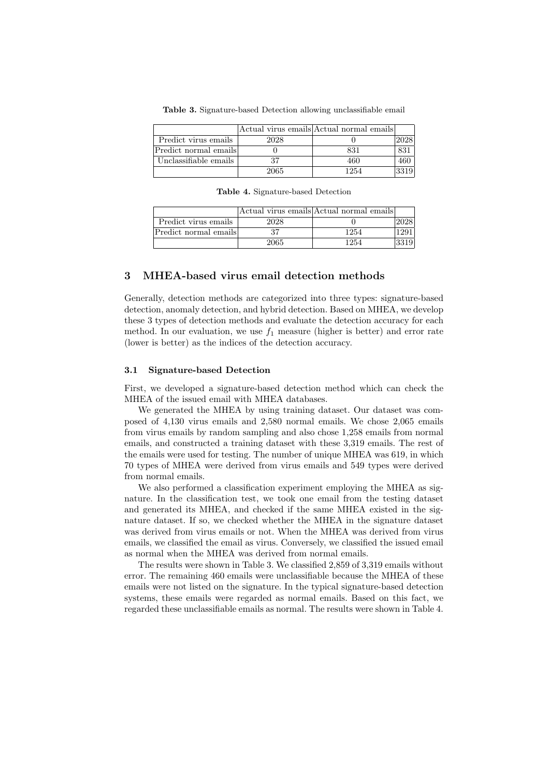Table 3. Signature-based Detection allowing unclassifiable email

|                       |      | Actual virus emails Actual normal emails |        |
|-----------------------|------|------------------------------------------|--------|
| Predict virus emails  | 2028 |                                          |        |
| Predict normal emails |      | 831                                      |        |
| Unclassifiable emails | 37   | 460                                      | -460 - |
|                       | 2065 | 1254                                     | 3319   |

|                       |      | Actual virus emails Actual normal emails |      |
|-----------------------|------|------------------------------------------|------|
| Predict virus emails  | 2028 |                                          | 128  |
| Predict normal emails |      | 1254                                     | 291  |
|                       | 2065 | 1254                                     | 3319 |

Table 4. Signature-based Detection

## 3 MHEA-based virus email detection methods

Generally, detection methods are categorized into three types: signature-based detection, anomaly detection, and hybrid detection. Based on MHEA, we develop these 3 types of detection methods and evaluate the detection accuracy for each method. In our evaluation, we use  $f_1$  measure (higher is better) and error rate (lower is better) as the indices of the detection accuracy.

### 3.1 Signature-based Detection

First, we developed a signature-based detection method which can check the MHEA of the issued email with MHEA databases.

We generated the MHEA by using training dataset. Our dataset was composed of 4,130 virus emails and 2,580 normal emails. We chose 2,065 emails from virus emails by random sampling and also chose 1,258 emails from normal emails, and constructed a training dataset with these 3,319 emails. The rest of the emails were used for testing. The number of unique MHEA was 619, in which 70 types of MHEA were derived from virus emails and 549 types were derived from normal emails.

We also performed a classification experiment employing the MHEA as signature. In the classification test, we took one email from the testing dataset and generated its MHEA, and checked if the same MHEA existed in the signature dataset. If so, we checked whether the MHEA in the signature dataset was derived from virus emails or not. When the MHEA was derived from virus emails, we classified the email as virus. Conversely, we classified the issued email as normal when the MHEA was derived from normal emails.

The results were shown in Table 3. We classified 2,859 of 3,319 emails without error. The remaining 460 emails were unclassifiable because the MHEA of these emails were not listed on the signature. In the typical signature-based detection systems, these emails were regarded as normal emails. Based on this fact, we regarded these unclassifiable emails as normal. The results were shown in Table 4.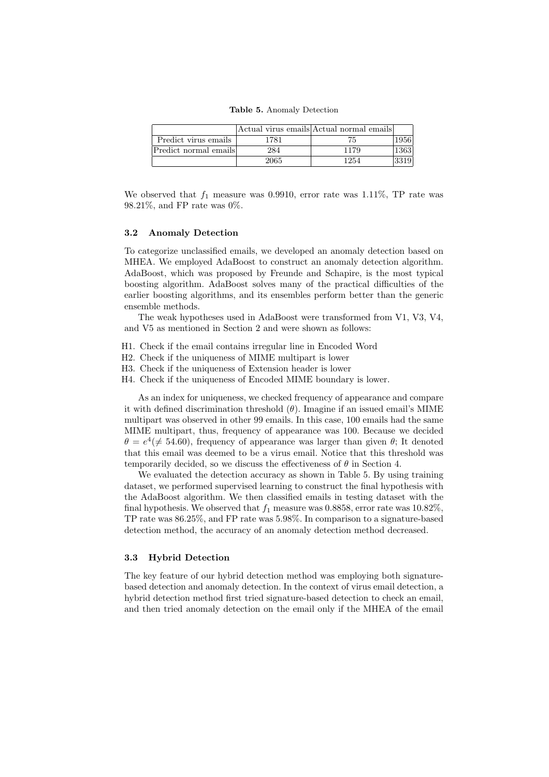|  |  |  | <b>Table 5.</b> Anomaly Detection |
|--|--|--|-----------------------------------|
|--|--|--|-----------------------------------|

|                       |      | Actual virus emails Actual normal emails |      |
|-----------------------|------|------------------------------------------|------|
| Predict virus emails  | 1781 |                                          | 1956 |
| Predict normal emails | 284  | 1179                                     | 1363 |
|                       | 2065 | 1254                                     | 3319 |

We observed that  $f_1$  measure was 0.9910, error rate was 1.11%, TP rate was 98.21%, and FP rate was 0%.

#### 3.2 Anomaly Detection

To categorize unclassified emails, we developed an anomaly detection based on MHEA. We employed AdaBoost to construct an anomaly detection algorithm. AdaBoost, which was proposed by Freunde and Schapire, is the most typical boosting algorithm. AdaBoost solves many of the practical difficulties of the earlier boosting algorithms, and its ensembles perform better than the generic ensemble methods.

The weak hypotheses used in AdaBoost were transformed from V1, V3, V4, and V5 as mentioned in Section 2 and were shown as follows:

- H1. Check if the email contains irregular line in Encoded Word
- H2. Check if the uniqueness of MIME multipart is lower
- H3. Check if the uniqueness of Extension header is lower
- H4. Check if the uniqueness of Encoded MIME boundary is lower.

As an index for uniqueness, we checked frequency of appearance and compare it with defined discrimination threshold  $(\theta)$ . Imagine if an issued email's MIME multipart was observed in other 99 emails. In this case, 100 emails had the same MIME multipart, thus, frequency of appearance was 100. Because we decided  $\theta = e^4 (\neq 54.60)$ , frequency of appearance was larger than given  $\theta$ ; It denoted that this email was deemed to be a virus email. Notice that this threshold was temporarily decided, so we discuss the effectiveness of  $\theta$  in Section 4.

We evaluated the detection accuracy as shown in Table 5. By using training dataset, we performed supervised learning to construct the final hypothesis with the AdaBoost algorithm. We then classified emails in testing dataset with the final hypothesis. We observed that  $f_1$  measure was 0.8858, error rate was 10.82%, TP rate was 86.25%, and FP rate was 5.98%. In comparison to a signature-based detection method, the accuracy of an anomaly detection method decreased.

#### 3.3 Hybrid Detection

The key feature of our hybrid detection method was employing both signaturebased detection and anomaly detection. In the context of virus email detection, a hybrid detection method first tried signature-based detection to check an email, and then tried anomaly detection on the email only if the MHEA of the email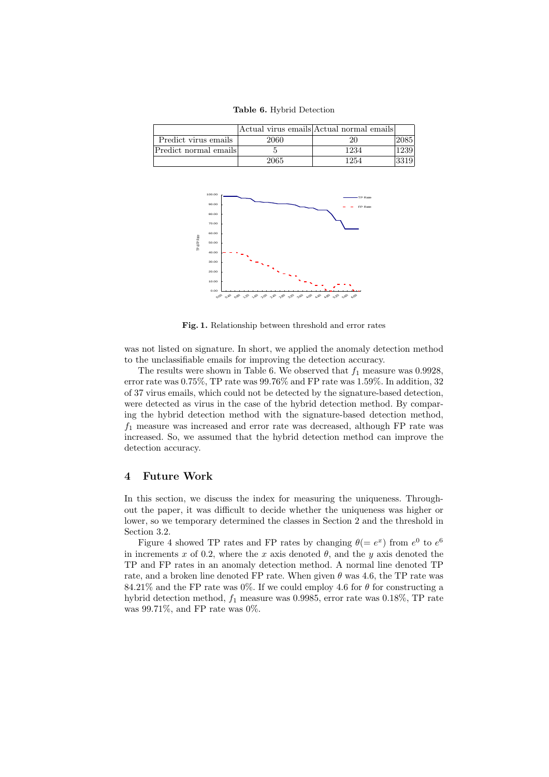Table 6. Hybrid Detection

|                       |      | Actual virus emails Actual normal emails |       |
|-----------------------|------|------------------------------------------|-------|
| Predict virus emails  | 2060 | 20                                       | 20851 |
| Predict normal emails |      | 1234                                     | 1239  |
|                       | 2065 | 1254                                     |       |



Fig. 1. Relationship between threshold and error rates

was not listed on signature. In short, we applied the anomaly detection method to the unclassifiable emails for improving the detection accuracy.

The results were shown in Table 6. We observed that  $f_1$  measure was 0.9928, error rate was 0.75%, TP rate was 99.76% and FP rate was 1.59%. In addition, 32 of 37 virus emails, which could not be detected by the signature-based detection, were detected as virus in the case of the hybrid detection method. By comparing the hybrid detection method with the signature-based detection method,  $f_1$  measure was increased and error rate was decreased, although FP rate was increased. So, we assumed that the hybrid detection method can improve the detection accuracy.

## 4 Future Work

In this section, we discuss the index for measuring the uniqueness. Throughout the paper, it was difficult to decide whether the uniqueness was higher or lower, so we temporary determined the classes in Section 2 and the threshold in Section 3.2.

Figure 4 showed TP rates and FP rates by changing  $\theta (= e^x)$  from  $e^0$  to  $e^6$ in increments x of 0.2, where the x axis denoted  $\theta$ , and the y axis denoted the TP and FP rates in an anomaly detection method. A normal line denoted TP rate, and a broken line denoted FP rate. When given  $\theta$  was 4.6, the TP rate was 84.21% and the FP rate was 0%. If we could employ 4.6 for  $\theta$  for constructing a hybrid detection method,  $f_1$  measure was 0.9985, error rate was 0.18%, TP rate was 99.71%, and FP rate was 0%.